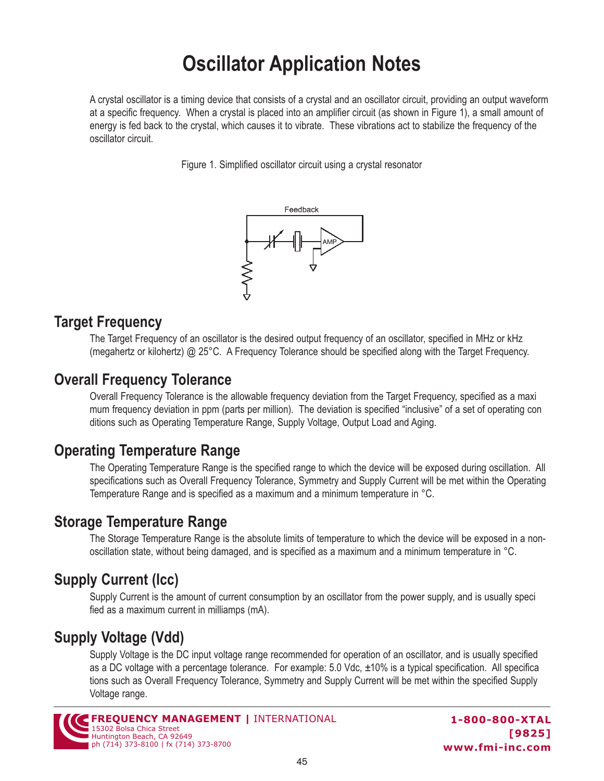# **Oscillator Application Notes**

A crystal oscillator is a timing device that consists of a crystal and an oscillator circuit, providing an output waveform at a specific frequency. When a crystal is placed into an amplifier circuit (as shown in Figure 1), a small amount of energy is fed back to the crystal, which causes it to vibrate. These vibrations act to stabilize the frequency of the oscillator circuit.

Figure 1. Simplified oscillator circuit using a crystal resonator



#### **Target Frequency**

The Target Frequency of an oscillator is the desired output frequency of an oscillator, specified in MHz or kHz (megahertz or kilohertz) @ 25°C. A Frequency Tolerance should be specified along with the Target Frequency.

#### **Overall Frequency Tolerance**

Overall Frequency Tolerance is the allowable frequency deviation from the Target Frequency, specified as a maxi mum frequency deviation in ppm (parts per million). The deviation is specified "inclusive" of a set of operating con ditions such as Operating Temperature Range, Supply Voltage, Output Load and Aging.

#### **Operating Temperature Range**

The Operating Temperature Range is the specified range to which the device will be exposed during oscillation. All specifications such as Overall Frequency Tolerance, Symmetry and Supply Current will be met within the Operating Temperature Range and is specified as a maximum and a minimum temperature in °C.

#### **Storage Temperature Range**

The Storage Temperature Range is the absolute limits of temperature to which the device will be exposed in a nonoscillation state, without being damaged, and is specified as a maximum and a minimum temperature in °C.

## **Supply Current (Icc)**

Supply Current is the amount of current consumption by an oscillator from the power supply, and is usually speci fied as a maximum current in milliamps (mA).

# **Supply Voltage (Vdd)**

Supply Voltage is the DC input voltage range recommended for operation of an oscillator, and is usually specified as a DC voltage with a percentage tolerance. For example: 5.0 Vdc, ±10% is a typical specification. All specifica tions such as Overall Frequency Tolerance, Symmetry and Supply Current will be met within the specified Supply Voltage range.

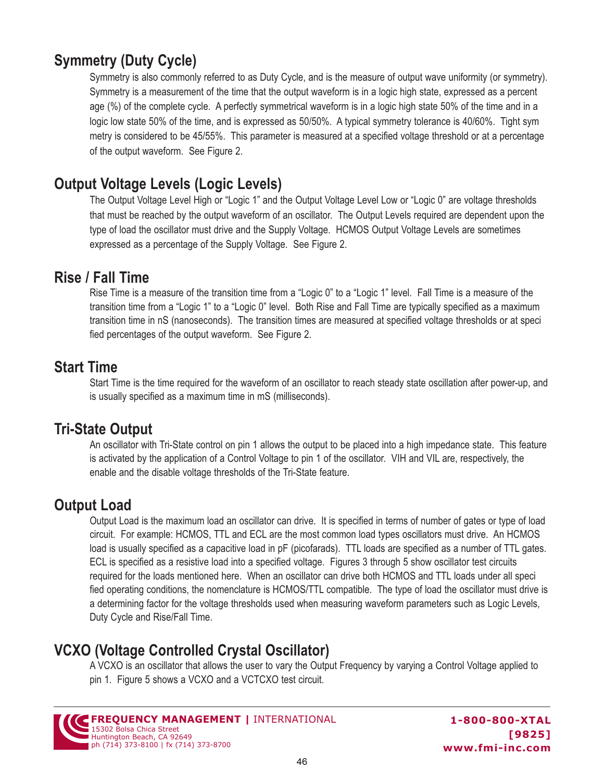# **Symmetry (Duty Cycle)**

Symmetry is also commonly referred to as Duty Cycle, and is the measure of output wave uniformity (or symmetry). Symmetry is a measurement of the time that the output waveform is in a logic high state, expressed as a percent age (%) of the complete cycle. A perfectly symmetrical waveform is in a logic high state 50% of the time and in a logic low state 50% of the time, and is expressed as 50/50%. A typical symmetry tolerance is 40/60%. Tight sym metry is considered to be 45/55%. This parameter is measured at a specified voltage threshold or at a percentage of the output waveform. See Figure 2.

## **Output Voltage Levels (Logic Levels)**

The Output Voltage Level High or "Logic 1" and the Output Voltage Level Low or "Logic 0" are voltage thresholds that must be reached by the output waveform of an oscillator. The Output Levels required are dependent upon the type of load the oscillator must drive and the Supply Voltage. HCMOS Output Voltage Levels are sometimes expressed as a percentage of the Supply Voltage. See Figure 2.

#### **Rise / Fall Time**

Rise Time is a measure of the transition time from a "Logic 0" to a "Logic 1" level. Fall Time is a measure of the transition time from a "Logic 1" to a "Logic 0" level. Both Rise and Fall Time are typically specified as a maximum transition time in nS (nanoseconds). The transition times are measured at specified voltage thresholds or at speci fied percentages of the output waveform. See Figure 2.

#### **Start Time**

Start Time is the time required for the waveform of an oscillator to reach steady state oscillation after power-up, and is usually specified as a maximum time in mS (milliseconds).

#### **Tri-State Output**

An oscillator with Tri-State control on pin 1 allows the output to be placed into a high impedance state. This feature is activated by the application of a Control Voltage to pin 1 of the oscillator. VIH and VIL are, respectively, the enable and the disable voltage thresholds of the Tri-State feature.

#### **Output Load**

Output Load is the maximum load an oscillator can drive. It is specified in terms of number of gates or type of load circuit. For example: HCMOS, TTL and ECL are the most common load types oscillators must drive. An HCMOS load is usually specified as a capacitive load in pF (picofarads). TTL loads are specified as a number of TTL gates. ECL is specified as a resistive load into a specified voltage. Figures 3 through 5 show oscillator test circuits required for the loads mentioned here. When an oscillator can drive both HCMOS and TTL loads under all speci fied operating conditions, the nomenclature is HCMOS/TTL compatible. The type of load the oscillator must drive is a determining factor for the voltage thresholds used when measuring waveform parameters such as Logic Levels, Duty Cycle and Rise/Fall Time.

## **VCXO (Voltage Controlled Crystal Oscillator)**

A VCXO is an oscillator that allows the user to vary the Output Frequency by varying a Control Voltage applied to pin 1. Figure 5 shows a VCXO and a VCTCXO test circuit.



**1-800-800-XTAL [9825] www.fmi-inc.com**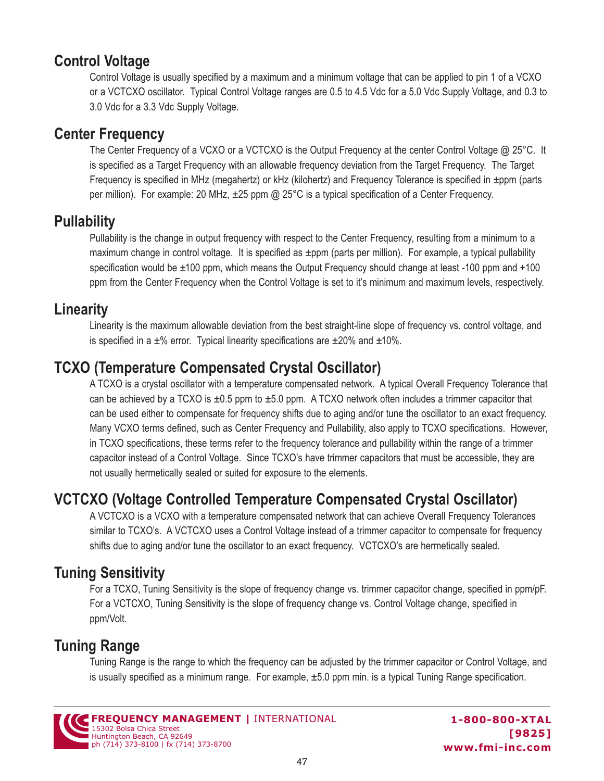## **Control Voltage**

Control Voltage is usually specified by a maximum and a minimum voltage that can be applied to pin 1 of a VCXO or a VCTCXO oscillator. Typical Control Voltage ranges are 0.5 to 4.5 Vdc for a 5.0 Vdc Supply Voltage, and 0.3 to 3.0 Vdc for a 3.3 Vdc Supply Voltage.

#### **Center Frequency**

The Center Frequency of a VCXO or a VCTCXO is the Output Frequency at the center Control Voltage @ 25°C. It is specified as a Target Frequency with an allowable frequency deviation from the Target Frequency. The Target Frequency is specified in MHz (megahertz) or kHz (kilohertz) and Frequency Tolerance is specified in ±ppm (parts per million). For example: 20 MHz, ±25 ppm @ 25°C is a typical specification of a Center Frequency.

## **Pullability**

Pullability is the change in output frequency with respect to the Center Frequency, resulting from a minimum to a maximum change in control voltage. It is specified as  $\pm$ ppm (parts per million). For example, a typical pullability specification would be ±100 ppm, which means the Output Frequency should change at least -100 ppm and +100 ppm from the Center Frequency when the Control Voltage is set to it's minimum and maximum levels, respectively.

## **Linearity**

Linearity is the maximum allowable deviation from the best straight-line slope of frequency vs. control voltage, and is specified in a  $\pm\%$  error. Typical linearity specifications are  $\pm 20\%$  and  $\pm 10\%$ .

# **TCXO (Temperature Compensated Crystal Oscillator)**

A TCXO is a crystal oscillator with a temperature compensated network. A typical Overall Frequency Tolerance that can be achieved by a TCXO is  $\pm 0.5$  ppm to  $\pm 5.0$  ppm. A TCXO network often includes a trimmer capacitor that can be used either to compensate for frequency shifts due to aging and/or tune the oscillator to an exact frequency. Many VCXO terms defined, such as Center Frequency and Pullability, also apply to TCXO specifications. However, in TCXO specifications, these terms refer to the frequency tolerance and pullability within the range of a trimmer capacitor instead of a Control Voltage. Since TCXO's have trimmer capacitors that must be accessible, they are not usually hermetically sealed or suited for exposure to the elements.

# **VCTCXO (Voltage Controlled Temperature Compensated Crystal Oscillator)**

A VCTCXO is a VCXO with a temperature compensated network that can achieve Overall Frequency Tolerances similar to TCXO's. A VCTCXO uses a Control Voltage instead of a trimmer capacitor to compensate for frequency shifts due to aging and/or tune the oscillator to an exact frequency. VCTCXO's are hermetically sealed.

## **Tuning Sensitivity**

For a TCXO, Tuning Sensitivity is the slope of frequency change vs. trimmer capacitor change, specified in ppm/pF. For a VCTCXO, Tuning Sensitivity is the slope of frequency change vs. Control Voltage change, specified in ppm/Volt.

# **Tuning Range**

Tuning Range is the range to which the frequency can be adjusted by the trimmer capacitor or Control Voltage, and is usually specified as a minimum range. For example, ±5.0 ppm min. is a typical Tuning Range specification.

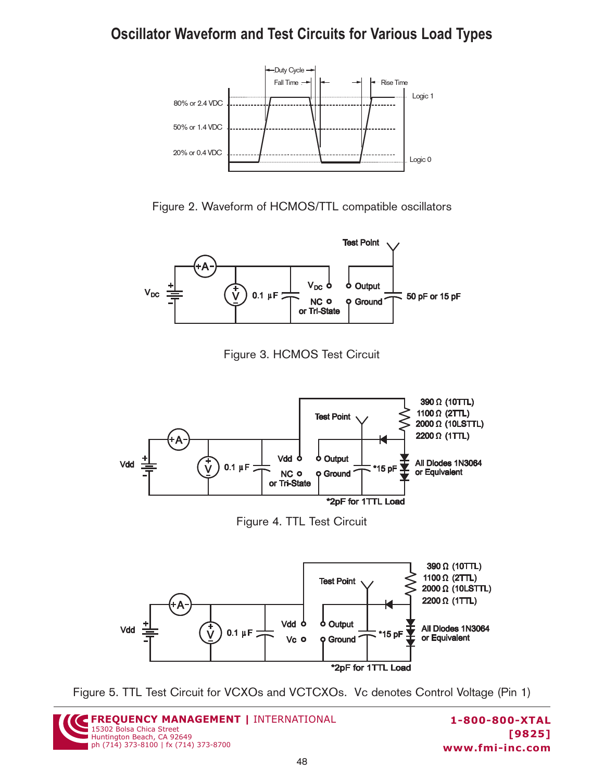## **Oscillator Waveform and Test Circuits for Various Load Types**



Figure 2. Waveform of HCMOS/TTL compatible oscillators



Figure 3. HCMOS Test Circuit



Figure 4. TTL Test Circuit







**1-800-800-XTAL [9825] www.fmi-inc.com**